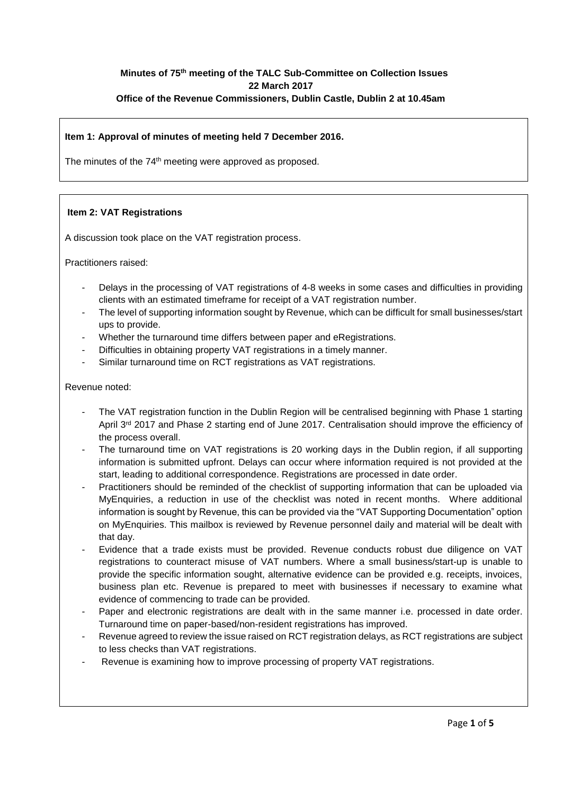# **Minutes of 75 th meeting of the TALC Sub-Committee on Collection Issues 22 March 2017 Office of the Revenue Commissioners, Dublin Castle, Dublin 2 at 10.45am**

## **Item 1: Approval of minutes of meeting held 7 December 2016.**

The minutes of the 74<sup>th</sup> meeting were approved as proposed.

# **Item 2: VAT Registrations**

A discussion took place on the VAT registration process.

Practitioners raised:

- Delays in the processing of VAT registrations of 4-8 weeks in some cases and difficulties in providing clients with an estimated timeframe for receipt of a VAT registration number.
- The level of supporting information sought by Revenue, which can be difficult for small businesses/start ups to provide.
- Whether the turnaround time differs between paper and eRegistrations.
- Difficulties in obtaining property VAT registrations in a timely manner.
- Similar turnaround time on RCT registrations as VAT registrations.

### Revenue noted:

- The VAT registration function in the Dublin Region will be centralised beginning with Phase 1 starting April 3<sup>rd</sup> 2017 and Phase 2 starting end of June 2017. Centralisation should improve the efficiency of the process overall.
- The turnaround time on VAT registrations is 20 working days in the Dublin region, if all supporting information is submitted upfront. Delays can occur where information required is not provided at the start, leading to additional correspondence. Registrations are processed in date order.
- Practitioners should be reminded of the checklist of supporting information that can be uploaded via MyEnquiries, a reduction in use of the checklist was noted in recent months. Where additional information is sought by Revenue, this can be provided via the "VAT Supporting Documentation" option on MyEnquiries. This mailbox is reviewed by Revenue personnel daily and material will be dealt with that day.
- Evidence that a trade exists must be provided. Revenue conducts robust due diligence on VAT registrations to counteract misuse of VAT numbers. Where a small business/start-up is unable to provide the specific information sought, alternative evidence can be provided e.g. receipts, invoices, business plan etc. Revenue is prepared to meet with businesses if necessary to examine what evidence of commencing to trade can be provided.
- Paper and electronic registrations are dealt with in the same manner i.e. processed in date order. Turnaround time on paper-based/non-resident registrations has improved.
- Revenue agreed to review the issue raised on RCT registration delays, as RCT registrations are subject to less checks than VAT registrations.
- Revenue is examining how to improve processing of property VAT registrations.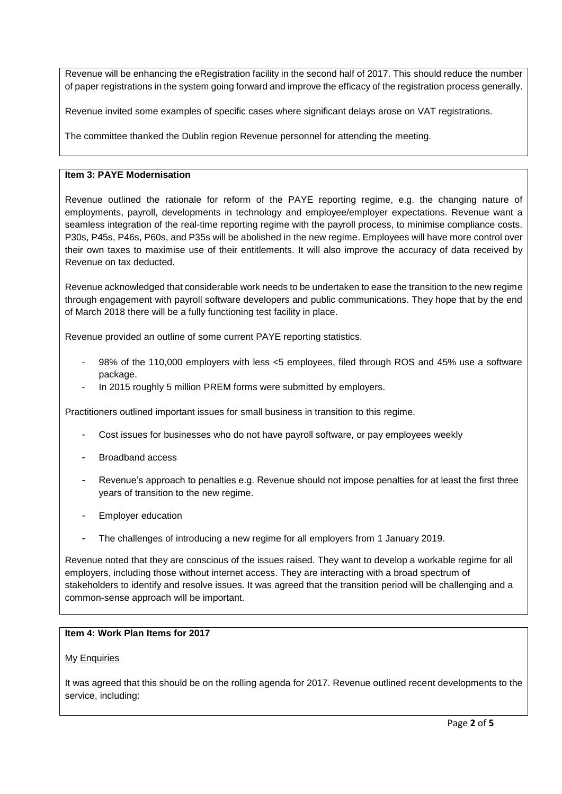Revenue will be enhancing the eRegistration facility in the second half of 2017. This should reduce the number of paper registrations in the system going forward and improve the efficacy of the registration process generally.

Revenue invited some examples of specific cases where significant delays arose on VAT registrations.

The committee thanked the Dublin region Revenue personnel for attending the meeting.

# **Item 3: PAYE Modernisation**

Revenue outlined the rationale for reform of the PAYE reporting regime, e.g. the changing nature of employments, payroll, developments in technology and employee/employer expectations. Revenue want a seamless integration of the real-time reporting regime with the payroll process, to minimise compliance costs. P30s, P45s, P46s, P60s, and P35s will be abolished in the new regime. Employees will have more control over their own taxes to maximise use of their entitlements. It will also improve the accuracy of data received by Revenue on tax deducted.

Revenue acknowledged that considerable work needs to be undertaken to ease the transition to the new regime through engagement with payroll software developers and public communications. They hope that by the end of March 2018 there will be a fully functioning test facility in place.

Revenue provided an outline of some current PAYE reporting statistics.

- 98% of the 110,000 employers with less <5 employees, filed through ROS and 45% use a software package.
- In 2015 roughly 5 million PREM forms were submitted by employers.

Practitioners outlined important issues for small business in transition to this regime.

- Cost issues for businesses who do not have payroll software, or pay employees weekly
- Broadband access
- Revenue's approach to penalties e.g. Revenue should not impose penalties for at least the first three years of transition to the new regime.
- Employer education
- The challenges of introducing a new regime for all employers from 1 January 2019.

Revenue noted that they are conscious of the issues raised. They want to develop a workable regime for all employers, including those without internet access. They are interacting with a broad spectrum of stakeholders to identify and resolve issues. It was agreed that the transition period will be challenging and a common-sense approach will be important.

#### **Item 4: Work Plan Items for 2017**

#### My Enquiries

It was agreed that this should be on the rolling agenda for 2017. Revenue outlined recent developments to the service, including: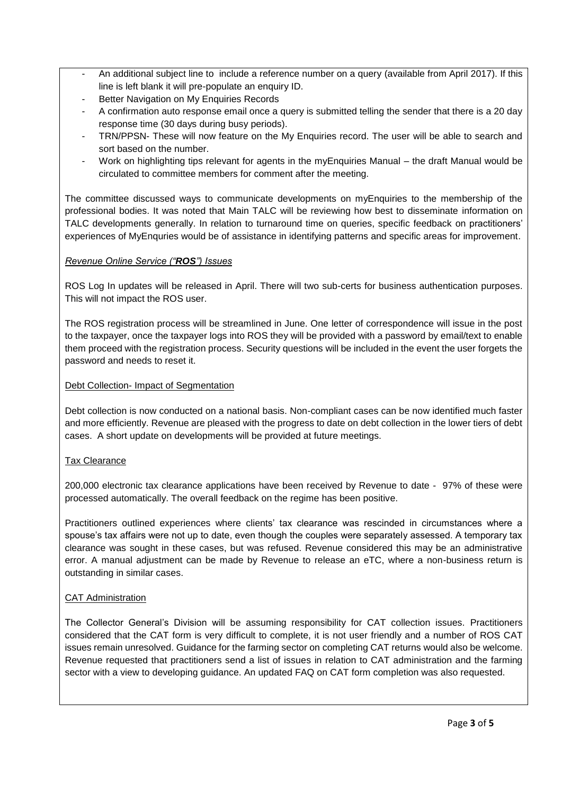- An additional subject line to include a reference number on a query (available from April 2017). If this line is left blank it will pre-populate an enquiry ID.
- Better Navigation on My Enquiries Records
- A confirmation auto response email once a query is submitted telling the sender that there is a 20 day response time (30 days during busy periods).
- TRN/PPSN- These will now feature on the My Enquiries record. The user will be able to search and sort based on the number.
- Work on highlighting tips relevant for agents in the myEnquiries Manual the draft Manual would be circulated to committee members for comment after the meeting.

The committee discussed ways to communicate developments on myEnquiries to the membership of the professional bodies. It was noted that Main TALC will be reviewing how best to disseminate information on TALC developments generally. In relation to turnaround time on queries, specific feedback on practitioners' experiences of MyEnquries would be of assistance in identifying patterns and specific areas for improvement.

# *Revenue Online Service ("ROS") Issues*

ROS Log In updates will be released in April. There will two sub-certs for business authentication purposes. This will not impact the ROS user.

The ROS registration process will be streamlined in June. One letter of correspondence will issue in the post to the taxpayer, once the taxpayer logs into ROS they will be provided with a password by email/text to enable them proceed with the registration process. Security questions will be included in the event the user forgets the password and needs to reset it.

## Debt Collection- Impact of Segmentation

Debt collection is now conducted on a national basis. Non-compliant cases can be now identified much faster and more efficiently. Revenue are pleased with the progress to date on debt collection in the lower tiers of debt cases. A short update on developments will be provided at future meetings.

## Tax Clearance

200,000 electronic tax clearance applications have been received by Revenue to date - 97% of these were processed automatically. The overall feedback on the regime has been positive.

Practitioners outlined experiences where clients' tax clearance was rescinded in circumstances where a spouse's tax affairs were not up to date, even though the couples were separately assessed. A temporary tax clearance was sought in these cases, but was refused. Revenue considered this may be an administrative error. A manual adjustment can be made by Revenue to release an eTC, where a non-business return is outstanding in similar cases.

## CAT Administration

The Collector General's Division will be assuming responsibility for CAT collection issues. Practitioners considered that the CAT form is very difficult to complete, it is not user friendly and a number of ROS CAT issues remain unresolved. Guidance for the farming sector on completing CAT returns would also be welcome. Revenue requested that practitioners send a list of issues in relation to CAT administration and the farming sector with a view to developing guidance. An updated FAQ on CAT form completion was also requested.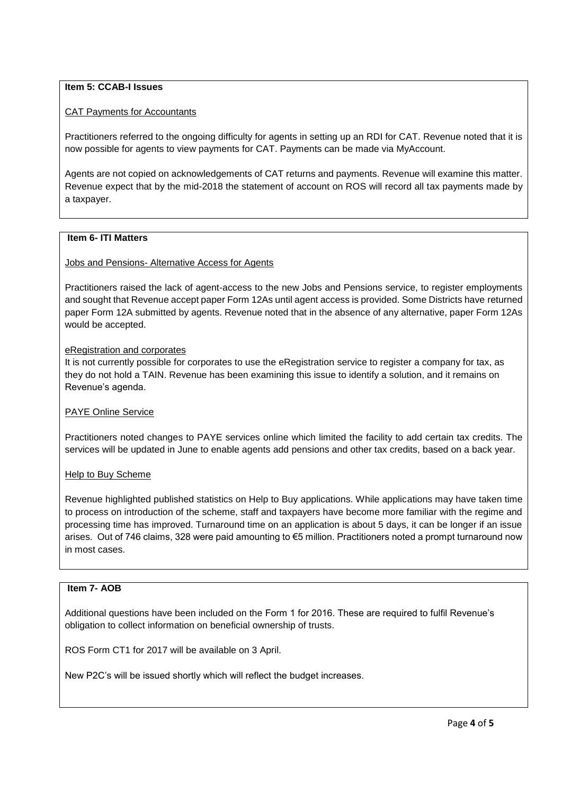# **Item 5: CCAB-I Issues**

### CAT Payments for Accountants

Practitioners referred to the ongoing difficulty for agents in setting up an RDI for CAT. Revenue noted that it is now possible for agents to view payments for CAT. Payments can be made via MyAccount.

Agents are not copied on acknowledgements of CAT returns and payments. Revenue will examine this matter. Revenue expect that by the mid-2018 the statement of account on ROS will record all tax payments made by a taxpayer.

### **Item 6- ITI Matters**

#### Jobs and Pensions- Alternative Access for Agents

Practitioners raised the lack of agent-access to the new Jobs and Pensions service, to register employments and sought that Revenue accept paper Form 12As until agent access is provided. Some Districts have returned paper Form 12A submitted by agents. Revenue noted that in the absence of any alternative, paper Form 12As would be accepted.

### eRegistration and corporates

It is not currently possible for corporates to use the eRegistration service to register a company for tax, as they do not hold a TAIN. Revenue has been examining this issue to identify a solution, and it remains on Revenue's agenda.

## PAYE Online Service

Practitioners noted changes to PAYE services online which limited the facility to add certain tax credits. The services will be updated in June to enable agents add pensions and other tax credits, based on a back year.

#### Help to Buy Scheme

Revenue highlighted published statistics on Help to Buy applications. While applications may have taken time to process on introduction of the scheme, staff and taxpayers have become more familiar with the regime and processing time has improved. Turnaround time on an application is about 5 days, it can be longer if an issue arises. Out of 746 claims, 328 were paid amounting to €5 million. Practitioners noted a prompt turnaround now in most cases.

#### **Item 7- AOB**

Additional questions have been included on the Form 1 for 2016. These are required to fulfil Revenue's obligation to collect information on beneficial ownership of trusts.

ROS Form CT1 for 2017 will be available on 3 April.

New P2C's will be issued shortly which will reflect the budget increases.